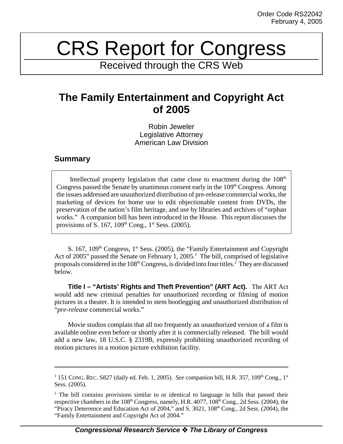## CRS Report for Congress

Received through the CRS Web

## **The Family Entertainment and Copyright Act of 2005**

Robin Jeweler Legislative Attorney American Law Division

## **Summary**

Intellectual property legislation that came close to enactment during the  $108<sup>th</sup>$ Congress passed the Senate by unanimous consent early in the  $109<sup>th</sup>$  Congress. Among the issues addressed are unauthorized distribution of pre-release commercial works, the marketing of devices for home use to edit objectionable content from DVDs, the preservation of the nation's film heritage, and use by libraries and archives of "orphan works." A companion bill has been introduced in the House. This report discusses the provisions of S. 167,  $109<sup>th</sup>$  Cong.,  $1<sup>st</sup>$  Sess. (2005).

S. 167,  $109<sup>th</sup> Congress, 1<sup>st</sup> Sess. (2005), the "Family Entertainment and Copyright$ Act of 2005" passed the Senate on February 1, 2005.<sup>1</sup> The bill, comprised of legislative proposals considered in the  $108<sup>th</sup> Congress$ , is divided into four titles.<sup>2</sup> They are discussed below.

**Title I – "Artists' Rights and Theft Prevention" (ART Act).** The ART Act would add new criminal penalties for unauthorized recording or filming of motion pictures in a theater. It is intended to stem bootlegging and unauthorized distribution of "*pre-release* commercial works."

Movie studios complain that all too frequently an unauthorized version of a film is available online even before or shortly after it is commercially released. The bill would add a new law, 18 U.S.C. § 2319B, expressly prohibiting unauthorized recording of motion pictures in a motion picture exhibition facility.

<sup>&</sup>lt;sup>1</sup> 151 CONG. REC. S827 (daily ed. Feb. 1, 2005). *See* companion bill, H.R. 357, 109<sup>th</sup> Cong., 1<sup>st</sup> Sess. (2005).

<sup>&</sup>lt;sup>2</sup> The bill contains provisions similar to or identical to language in bills that passed their respective chambers in the 108<sup>th</sup> Congress, namely, H.R. 4077, 108<sup>th</sup> Cong., 2d Sess. (2004), the "Piracy Deterrence and Education Act of 2004," and S. 3021, 108<sup>th</sup> Cong., 2d Sess. (2004), the "Family Entertainment and Copyright Act of 2004."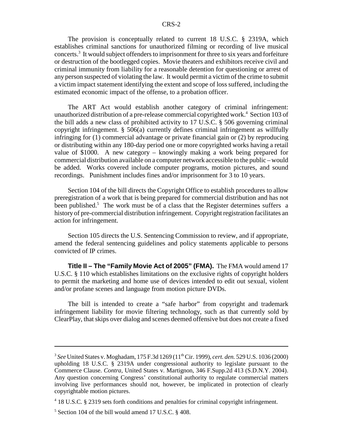The provision is conceptually related to current 18 U.S.C. § 2319A, which establishes criminal sanctions for unauthorized filming or recording of live musical concerts.<sup>3</sup> It would subject offenders to imprisonment for three to six years and forfeiture or destruction of the bootlegged copies. Movie theaters and exhibitors receive civil and criminal immunity from liability for a reasonable detention for questioning or arrest of any person suspected of violating the law. It would permit a victim of the crime to submit a victim impact statement identifying the extent and scope of loss suffered, including the estimated economic impact of the offense, to a probation officer.

The ART Act would establish another category of criminal infringement: unauthorized distribution of a pre-release commercial copyrighted work.<sup>4</sup> Section 103 of the bill adds a new class of prohibited activity to 17 U.S.C. § 506 governing criminal copyright infringement. § 506(a) currently defines criminal infringement as willfully infringing for (1) commercial advantage or private financial gain or (2) by reproducing or distributing within any 180-day period one or more copyrighted works having a retail value of \$1000. A new category – knowingly making a work being prepared for commercial distribution available on a computer network accessible to the public – would be added. Works covered include computer programs, motion pictures, and sound recordings. Punishment includes fines and/or imprisonment for 3 to 10 years.

Section 104 of the bill directs the Copyright Office to establish procedures to allow preregistration of a work that is being prepared for commercial distribution and has not been published.<sup>5</sup> The work must be of a class that the Register determines suffers a history of pre-commercial distribution infringement. Copyright registration facilitates an action for infringement.

Section 105 directs the U.S. Sentencing Commission to review, and if appropriate, amend the federal sentencing guidelines and policy statements applicable to persons convicted of IP crimes.

**Title II – The "Family Movie Act of 2005" (FMA).** The FMA would amend 17 U.S.C. § 110 which establishes limitations on the exclusive rights of copyright holders to permit the marketing and home use of devices intended to edit out sexual, violent and/or profane scenes and language from motion picture DVDs.

The bill is intended to create a "safe harbor" from copyright and trademark infringement liability for movie filtering technology, such as that currently sold by ClearPlay, that skips over dialog and scenes deemed offensive but does not create a fixed

<sup>3</sup> *See* United States v. Moghadam, 175 F.3d 1269 (11th Cir. 1999), *cert. den.* 529 U.S. 1036 (2000) upholding 18 U.S.C. § 2319A under congressional authority to legislate pursuant to the Commerce Clause. *Contra,* United States v. Martignon, 346 F.Supp.2d 413 (S.D.N.Y. 2004). Any question concerning Congress' constitutional authority to regulate commercial matters involving live performances should not, however, be implicated in protection of clearly copyrightable motion pictures.

<sup>&</sup>lt;sup>4</sup> 18 U.S.C. § 2319 sets forth conditions and penalties for criminal copyright infringement.

<sup>5</sup> Section 104 of the bill would amend 17 U.S.C. § 408.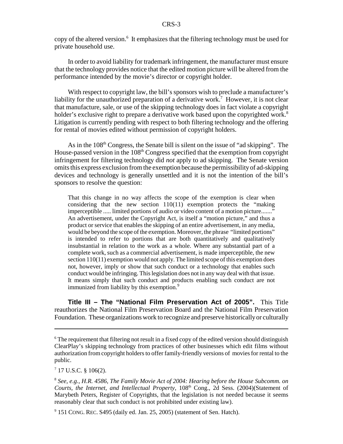copy of the altered version.<sup>6</sup> It emphasizes that the filtering technology must be used for private household use.

In order to avoid liability for trademark infringement, the manufacturer must ensure that the technology provides notice that the edited motion picture will be altered from the performance intended by the movie's director or copyright holder.

With respect to copyright law, the bill's sponsors wish to preclude a manufacturer's liability for the unauthorized preparation of a derivative work.<sup>7</sup> However, it is not clear that manufacture, sale, or use of the skipping technology does in fact violate a copyright holder's exclusive right to prepare a derivative work based upon the copyrighted work.<sup>8</sup> Litigation is currently pending with respect to both filtering technology and the offering for rental of movies edited without permission of copyright holders.

As in the 108<sup>th</sup> Congress, the Senate bill is silent on the issue of "ad skipping". The House-passed version in the 108<sup>th</sup> Congress specified that the exemption from copyright infringement for filtering technology did *not* apply to ad skipping. The Senate version omits this express exclusion from the exemption because the permissibility of ad-skipping devices and technology is generally unsettled and it is not the intention of the bill's sponsors to resolve the question:

That this change in no way affects the scope of the exemption is clear when considering that the new section 110(11) exemption protects the "making imperceptible ..... limited portions of audio or video content of a motion picture......." An advertisement, under the Copyright Act, is itself a "motion picture," and thus a product or service that enables the skipping of an entire advertisement, in any media, would be beyond the scope of the exemption. Moreover, the phrase "limited portions" is intended to refer to portions that are both quantitatively and qualitatively insubstantial in relation to the work as a whole. Where any substantial part of a complete work, such as a commercial advertisement, is made imperceptible, the new section 110(11) exemption would not apply. The limited scope of this exemption does not, however, imply or show that such conduct or a technology that enables such conduct would be infringing. This legislation does not in any way deal with that issue. It means simply that such conduct and products enabling such conduct are not immunized from liability by this exemption.<sup>9</sup>

**Title III – The "National Film Preservation Act of 2005".** This Title reauthorizes the National Film Preservation Board and the National Film Preservation Foundation. These organizations work to recognize and preserve historically or culturally

 $7$  17 U.S.C. § 106(2).

 $6$  The requirement that filtering not result in a fixed copy of the edited version should distinguish ClearPlay's skipping technology from practices of other businesses which edit films without authorization from copyright holders to offer family-friendly versions of movies for rental to the public.

<sup>8</sup> *See, e.g.*, *H.R. 4586, The Family Movie Act of 2004: Hearing before the House Subcomm. on* Courts, the Internet, and Intellectual Property, 108<sup>th</sup> Cong., 2d Sess. (2004)(Statement of Marybeth Peters, Register of Copyrights, that the legislation is not needed because it seems reasonably clear that such conduct is not prohibited under existing law).

<sup>&</sup>lt;sup>9</sup> 151 CONG. REC. S495 (daily ed. Jan. 25, 2005) (statement of Sen. Hatch).